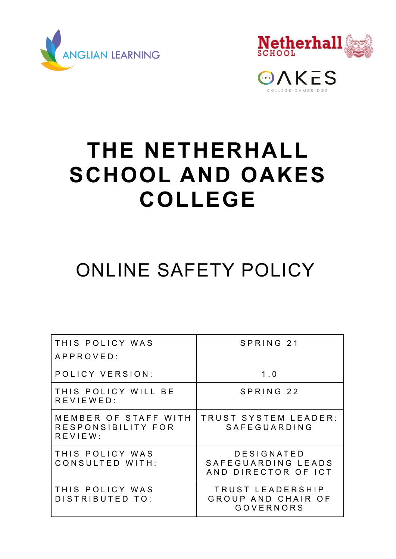



**EDAKES** 

# **THE NETHERHALL SCHOOL AND OAKES COLLEGE**

## ONLINE SAFETY POLICY

| THIS POLICY WAS<br>APPROVED:                          | SPRING 21                                                  |
|-------------------------------------------------------|------------------------------------------------------------|
| POLICY VERSION:                                       | 1.0                                                        |
| THIS POLICY WILL BE<br>REVIEWED:                      | SPRING 22                                                  |
| MEMBER OF STAFF WITH<br>RESPONSIBILITY FOR<br>REVIEW: | TRUST SYSTEM LEADER:<br>SAFEGUARDING                       |
| THIS POLICY WAS<br>CONSULTED WITH:                    | DESIGNATED<br>SAFEGUARDING LEADS<br>AND DIRECTOR OF ICT    |
| THIS POLICY WAS<br>DISTRIBUTED TO:                    | TRUST LEADERSHIP<br>GROUP AND CHAIR OF<br><b>GOVERNORS</b> |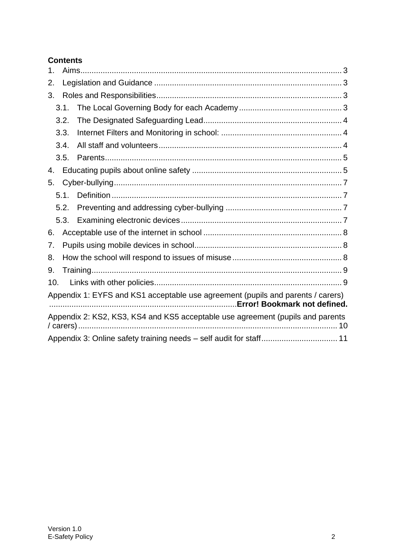#### **Contents**

| 1.                                                                                                              |      |                                                                                |  |  |  |
|-----------------------------------------------------------------------------------------------------------------|------|--------------------------------------------------------------------------------|--|--|--|
| 2.                                                                                                              |      |                                                                                |  |  |  |
| 3.                                                                                                              |      |                                                                                |  |  |  |
|                                                                                                                 | 3.1. |                                                                                |  |  |  |
|                                                                                                                 | 3.2. |                                                                                |  |  |  |
|                                                                                                                 | 3.3. |                                                                                |  |  |  |
|                                                                                                                 | 3.4. |                                                                                |  |  |  |
|                                                                                                                 | 3.5. |                                                                                |  |  |  |
| 4.                                                                                                              |      |                                                                                |  |  |  |
| 5.                                                                                                              |      |                                                                                |  |  |  |
|                                                                                                                 | 5.1. |                                                                                |  |  |  |
|                                                                                                                 | 5.2. |                                                                                |  |  |  |
|                                                                                                                 | 5.3. |                                                                                |  |  |  |
| 6.                                                                                                              |      |                                                                                |  |  |  |
| 7.                                                                                                              |      |                                                                                |  |  |  |
| 8.                                                                                                              |      |                                                                                |  |  |  |
| 9.                                                                                                              |      |                                                                                |  |  |  |
| 10.                                                                                                             |      |                                                                                |  |  |  |
| Appendix 1: EYFS and KS1 acceptable use agreement (pupils and parents / carers)<br>Error! Bookmark not defined. |      |                                                                                |  |  |  |
|                                                                                                                 |      | Appendix 2: KS2, KS3, KS4 and KS5 acceptable use agreement (pupils and parents |  |  |  |
|                                                                                                                 |      |                                                                                |  |  |  |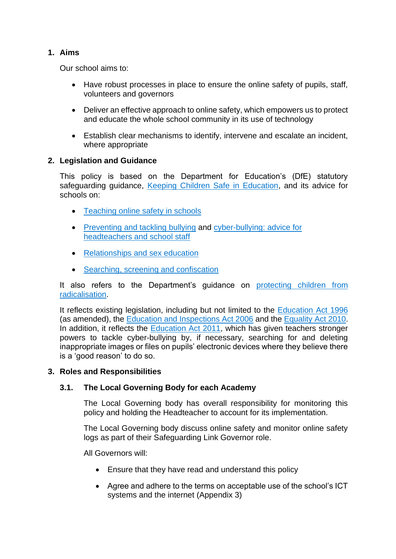#### <span id="page-2-0"></span>**1. Aims**

Our school aims to:

- Have robust processes in place to ensure the online safety of pupils, staff, volunteers and governors
- Deliver an effective approach to online safety, which empowers us to protect and educate the whole school community in its use of technology
- Establish clear mechanisms to identify, intervene and escalate an incident, where appropriate

#### <span id="page-2-1"></span>**2. Legislation and Guidance**

This policy is based on the Department for Education's (DfE) statutory safeguarding guidance, [Keeping Children Safe in Education,](https://www.gov.uk/government/publications/keeping-children-safe-in-education--2) and its advice for schools on:

- [Teaching online safety in schools](https://www.gov.uk/government/publications/teaching-online-safety-in-schools)
- [Preventing and tackling bullying](https://www.gov.uk/government/publications/preventing-and-tackling-bullying) and [cyber-bullying: advice for](https://www.gov.uk/government/publications/preventing-and-tackling-bullying)  [headteachers and school staff](https://www.gov.uk/government/publications/preventing-and-tackling-bullying)
- [Relationships and sex education](https://www.gov.uk/government/publications/relationships-education-relationships-and-sex-education-rse-and-health-education)
- [Searching, screening and confiscation](https://www.gov.uk/government/publications/searching-screening-and-confiscation)

It also refers to the Department's guidance on [protecting children from](https://www.gov.uk/government/publications/protecting-children-from-radicalisation-the-prevent-duty)  [radicalisation.](https://www.gov.uk/government/publications/protecting-children-from-radicalisation-the-prevent-duty)

It reflects existing legislation, including but not limited to the [Education Act 1996](https://www.legislation.gov.uk/ukpga/1996/56/contents) (as amended), the [Education and Inspections Act 2006](https://www.legislation.gov.uk/ukpga/2006/40/contents) and the [Equality Act 2010.](https://www.legislation.gov.uk/ukpga/2010/15/contents) In addition, it reflects the [Education Act 2011,](http://www.legislation.gov.uk/ukpga/2011/21/contents/enacted) which has given teachers stronger powers to tackle cyber-bullying by, if necessary, searching for and deleting inappropriate images or files on pupils' electronic devices where they believe there is a 'good reason' to do so.

#### <span id="page-2-2"></span>**3. Roles and Responsibilities**

#### <span id="page-2-3"></span>**3.1. The Local Governing Body for each Academy**

The Local Governing body has overall responsibility for monitoring this policy and holding the Headteacher to account for its implementation.

The Local Governing body discuss online safety and monitor online safety logs as part of their Safeguarding Link Governor role.

All Governors will:

- Ensure that they have read and understand this policy
- Agree and adhere to the terms on acceptable use of the school's ICT systems and the internet (Appendix 3)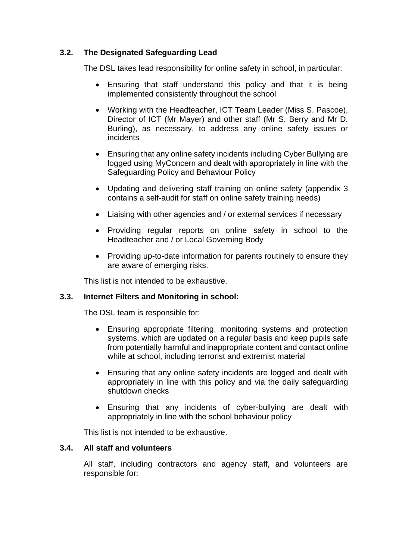#### <span id="page-3-0"></span>**3.2. The Designated Safeguarding Lead**

The DSL takes lead responsibility for online safety in school, in particular:

- Ensuring that staff understand this policy and that it is being implemented consistently throughout the school
- Working with the Headteacher, ICT Team Leader (Miss S. Pascoe), Director of ICT (Mr Mayer) and other staff (Mr S. Berry and Mr D. Burling), as necessary, to address any online safety issues or incidents
- Ensuring that any online safety incidents including Cyber Bullying are logged using MyConcern and dealt with appropriately in line with the Safeguarding Policy and Behaviour Policy
- Updating and delivering staff training on online safety (appendix 3 contains a self-audit for staff on online safety training needs)
- Liaising with other agencies and / or external services if necessary
- Providing regular reports on online safety in school to the Headteacher and / or Local Governing Body
- Providing up-to-date information for parents routinely to ensure they are aware of emerging risks.

This list is not intended to be exhaustive.

#### <span id="page-3-1"></span>**3.3. Internet Filters and Monitoring in school:**

The DSL team is responsible for:

- Ensuring appropriate filtering, monitoring systems and protection systems, which are updated on a regular basis and keep pupils safe from potentially harmful and inappropriate content and contact online while at school, including terrorist and extremist material
- Ensuring that any online safety incidents are logged and dealt with appropriately in line with this policy and via the daily safeguarding shutdown checks
- Ensuring that any incidents of cyber-bullying are dealt with appropriately in line with the school behaviour policy

This list is not intended to be exhaustive.

#### <span id="page-3-2"></span>**3.4. All staff and volunteers**

All staff, including contractors and agency staff, and volunteers are responsible for: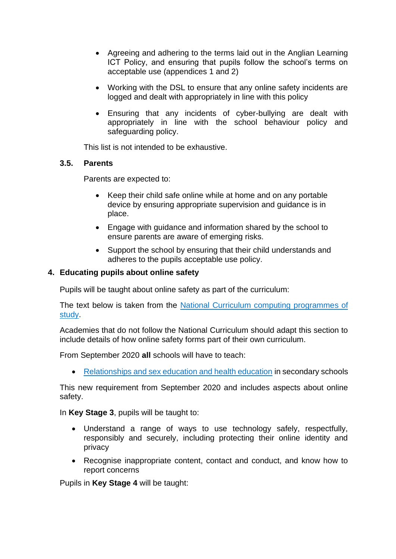- Agreeing and adhering to the terms laid out in the Anglian Learning ICT Policy, and ensuring that pupils follow the school's terms on acceptable use (appendices 1 and 2)
- Working with the DSL to ensure that any online safety incidents are logged and dealt with appropriately in line with this policy
- Ensuring that any incidents of cyber-bullying are dealt with appropriately in line with the school behaviour policy and safeguarding policy.

This list is not intended to be exhaustive.

#### <span id="page-4-0"></span>**3.5. Parents**

Parents are expected to:

- Keep their child safe online while at home and on any portable device by ensuring appropriate supervision and guidance is in place.
- Engage with guidance and information shared by the school to ensure parents are aware of emerging risks.
- Support the school by ensuring that their child understands and adheres to the pupils acceptable use policy.

#### <span id="page-4-1"></span>**4. Educating pupils about online safety**

Pupils will be taught about online safety as part of the curriculum:

The text below is taken from the [National Curriculum computing programmes of](https://www.gov.uk/government/publications/national-curriculum-in-england-computing-programmes-of-study/national-curriculum-in-england-computing-programmes-of-study)  [study.](https://www.gov.uk/government/publications/national-curriculum-in-england-computing-programmes-of-study/national-curriculum-in-england-computing-programmes-of-study)

Academies that do not follow the National Curriculum should adapt this section to include details of how online safety forms part of their own curriculum.

From September 2020 **all** schools will have to teach:

• [Relationships and sex education and health education](https://schoolleaders.thekeysupport.com/uid/66a1d83e-2fb9-411e-91f1-fe52a09d16d1/) in secondary schools

This new requirement from September 2020 and includes aspects about online safety.

In **Key Stage 3**, pupils will be taught to:

- Understand a range of ways to use technology safely, respectfully, responsibly and securely, including protecting their online identity and privacy
- Recognise inappropriate content, contact and conduct, and know how to report concerns

Pupils in **Key Stage 4** will be taught: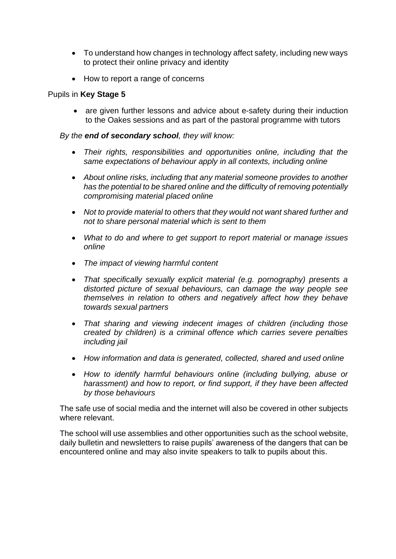- To understand how changes in technology affect safety, including new ways to protect their online privacy and identity
- How to report a range of concerns

#### Pupils in **Key Stage 5**

• are given further lessons and advice about e-safety during their induction to the Oakes sessions and as part of the pastoral programme with tutors

#### *By the end of secondary school, they will know:*

- *Their rights, responsibilities and opportunities online, including that the same expectations of behaviour apply in all contexts, including online*
- *About online risks, including that any material someone provides to another has the potential to be shared online and the difficulty of removing potentially compromising material placed online*
- *Not to provide material to others that they would not want shared further and not to share personal material which is sent to them*
- *What to do and where to get support to report material or manage issues online*
- *The impact of viewing harmful content*
- *That specifically sexually explicit material (e.g. pornography) presents a distorted picture of sexual behaviours, can damage the way people see themselves in relation to others and negatively affect how they behave towards sexual partners*
- *That sharing and viewing indecent images of children (including those created by children) is a criminal offence which carries severe penalties including jail*
- *How information and data is generated, collected, shared and used online*
- *How to identify harmful behaviours online (including bullying, abuse or harassment) and how to report, or find support, if they have been affected by those behaviours*

The safe use of social media and the internet will also be covered in other subjects where relevant.

The school will use assemblies and other opportunities such as the school website, daily bulletin and newsletters to raise pupils' awareness of the dangers that can be encountered online and may also invite speakers to talk to pupils about this.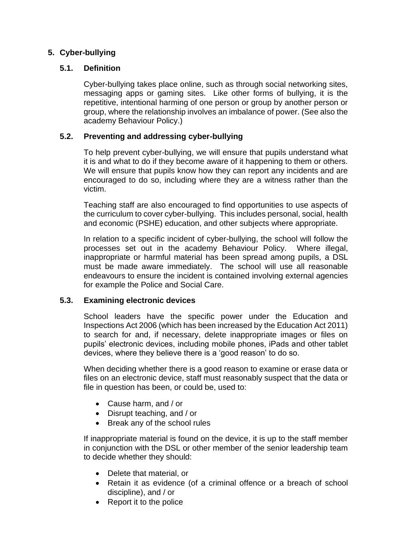#### <span id="page-6-0"></span>**5. Cyber-bullying**

#### <span id="page-6-1"></span>**5.1. Definition**

Cyber-bullying takes place online, such as through social networking sites, messaging apps or gaming sites. Like other forms of bullying, it is the repetitive, intentional harming of one person or group by another person or group, where the relationship involves an imbalance of power. (See also the academy Behaviour Policy.)

#### <span id="page-6-2"></span>**5.2. Preventing and addressing cyber-bullying**

To help prevent cyber-bullying, we will ensure that pupils understand what it is and what to do if they become aware of it happening to them or others. We will ensure that pupils know how they can report any incidents and are encouraged to do so, including where they are a witness rather than the victim.

Teaching staff are also encouraged to find opportunities to use aspects of the curriculum to cover cyber-bullying. This includes personal, social, health and economic (PSHE) education, and other subjects where appropriate.

In relation to a specific incident of cyber-bullying, the school will follow the processes set out in the academy Behaviour Policy. Where illegal, inappropriate or harmful material has been spread among pupils, a DSL must be made aware immediately. The school will use all reasonable endeavours to ensure the incident is contained involving external agencies for example the Police and Social Care.

#### <span id="page-6-3"></span>**5.3. Examining electronic devices**

School leaders have the specific power under the Education and Inspections Act 2006 (which has been increased by the Education Act 2011) to search for and, if necessary, delete inappropriate images or files on pupils' electronic devices, including mobile phones, iPads and other tablet devices, where they believe there is a 'good reason' to do so.

When deciding whether there is a good reason to examine or erase data or files on an electronic device, staff must reasonably suspect that the data or file in question has been, or could be, used to:

- Cause harm, and / or
- Disrupt teaching, and / or
- Break any of the school rules

If inappropriate material is found on the device, it is up to the staff member in conjunction with the DSL or other member of the senior leadership team to decide whether they should:

- Delete that material, or
- Retain it as evidence (of a criminal offence or a breach of school discipline), and / or
- Report it to the police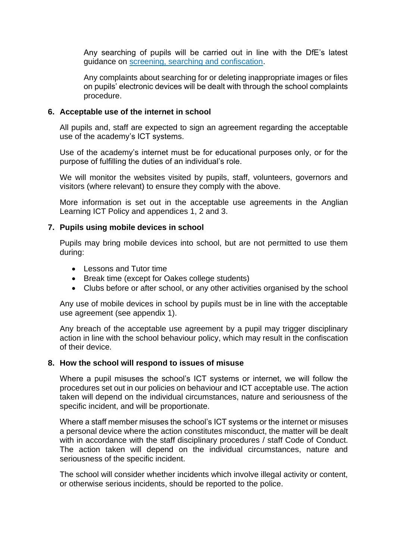Any searching of pupils will be carried out in line with the DfE's latest guidance on [screening, searching and confiscation.](https://www.gov.uk/government/publications/searching-screening-and-confiscation)

Any complaints about searching for or deleting inappropriate images or files on pupils' electronic devices will be dealt with through the school complaints procedure.

#### <span id="page-7-0"></span>**6. Acceptable use of the internet in school**

All pupils and, staff are expected to sign an agreement regarding the acceptable use of the academy's ICT systems.

Use of the academy's internet must be for educational purposes only, or for the purpose of fulfilling the duties of an individual's role.

We will monitor the websites visited by pupils, staff, volunteers, governors and visitors (where relevant) to ensure they comply with the above.

More information is set out in the acceptable use agreements in the Anglian Learning ICT Policy and appendices 1, 2 and 3.

#### <span id="page-7-1"></span>**7. Pupils using mobile devices in school**

Pupils may bring mobile devices into school, but are not permitted to use them during:

- Lessons and Tutor time
- Break time (except for Oakes college students)
- Clubs before or after school, or any other activities organised by the school

Any use of mobile devices in school by pupils must be in line with the acceptable use agreement (see appendix 1).

Any breach of the acceptable use agreement by a pupil may trigger disciplinary action in line with the school behaviour policy, which may result in the confiscation of their device.

#### <span id="page-7-2"></span>**8. How the school will respond to issues of misuse**

Where a pupil misuses the school's ICT systems or internet, we will follow the procedures set out in our policies on behaviour and ICT acceptable use. The action taken will depend on the individual circumstances, nature and seriousness of the specific incident, and will be proportionate.

Where a staff member misuses the school's ICT systems or the internet or misuses a personal device where the action constitutes misconduct, the matter will be dealt with in accordance with the staff disciplinary procedures / staff Code of Conduct. The action taken will depend on the individual circumstances, nature and seriousness of the specific incident.

The school will consider whether incidents which involve illegal activity or content, or otherwise serious incidents, should be reported to the police.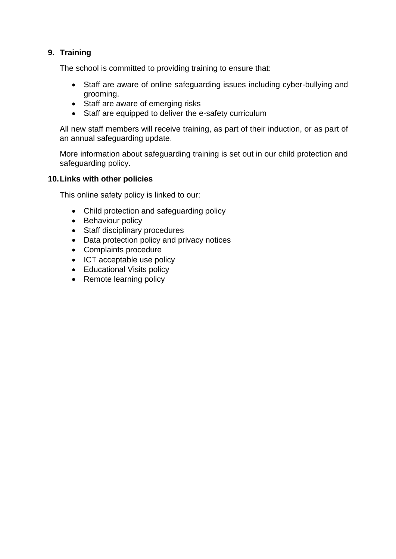#### <span id="page-8-0"></span>**9. Training**

The school is committed to providing training to ensure that:

- Staff are aware of online safeguarding issues including cyber-bullying and grooming.
- Staff are aware of emerging risks
- Staff are equipped to deliver the e-safety curriculum

All new staff members will receive training, as part of their induction, or as part of an annual safeguarding update.

More information about safeguarding training is set out in our child protection and safeguarding policy.

#### <span id="page-8-1"></span>**10.Links with other policies**

This online safety policy is linked to our:

- Child protection and safeguarding policy
- Behaviour policy
- Staff disciplinary procedures
- Data protection policy and privacy notices
- Complaints procedure
- ICT acceptable use policy
- Educational Visits policy
- Remote learning policy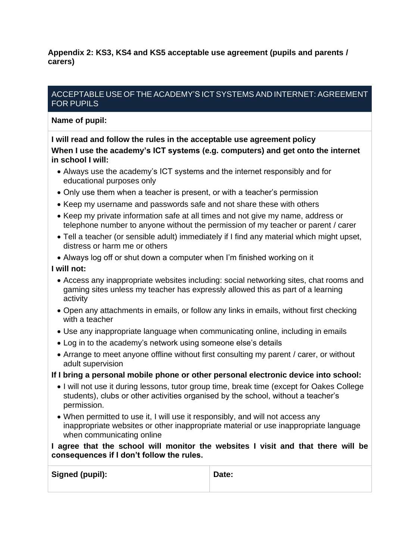<span id="page-9-0"></span>**Appendix 2: KS3, KS4 and KS5 acceptable use agreement (pupils and parents / carers)**

#### ACCEPTABLE USE OF THE ACADEMY'S ICT SYSTEMS AND INTERNET: AGREEMENT FOR PUPILS

**Name of pupil:**

**I will read and follow the rules in the acceptable use agreement policy When I use the academy's ICT systems (e.g. computers) and get onto the internet in school I will:**

- Always use the academy's ICT systems and the internet responsibly and for educational purposes only
- Only use them when a teacher is present, or with a teacher's permission
- Keep my username and passwords safe and not share these with others
- Keep my private information safe at all times and not give my name, address or telephone number to anyone without the permission of my teacher or parent / carer
- Tell a teacher (or sensible adult) immediately if I find any material which might upset, distress or harm me or others
- Always log off or shut down a computer when I'm finished working on it

#### **I will not:**

- Access any inappropriate websites including: social networking sites, chat rooms and gaming sites unless my teacher has expressly allowed this as part of a learning activity
- Open any attachments in emails, or follow any links in emails, without first checking with a teacher
- Use any inappropriate language when communicating online, including in emails
- Log in to the academy's network using someone else's details
- Arrange to meet anyone offline without first consulting my parent / carer, or without adult supervision

#### **If I bring a personal mobile phone or other personal electronic device into school:**

- I will not use it during lessons, tutor group time, break time (except for Oakes College students), clubs or other activities organised by the school, without a teacher's permission.
- When permitted to use it, I will use it responsibly, and will not access any inappropriate websites or other inappropriate material or use inappropriate language when communicating online

**I agree that the school will monitor the websites I visit and that there will be consequences if I don't follow the rules.**

| Signed (pupil): | Date: |
|-----------------|-------|
|-----------------|-------|